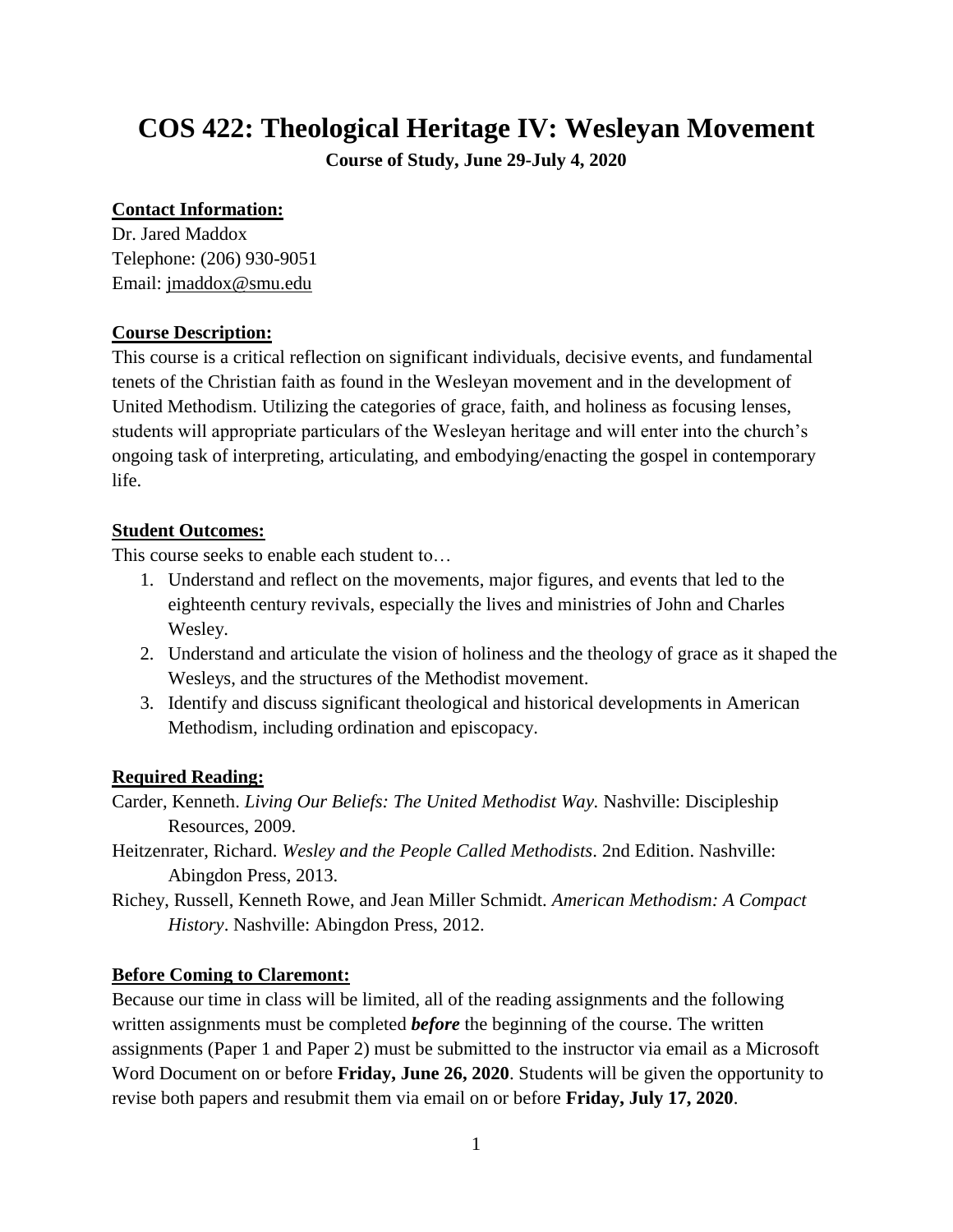# **COS 422: Theological Heritage IV: Wesleyan Movement**

**Course of Study, June 29-July 4, 2020**

#### **Contact Information:**

Dr. Jared Maddox Telephone: (206) 930-9051 Email: [jmaddox@smu.edu](mailto:jmaddox@smu.edu)

#### **Course Description:**

This course is a critical reflection on significant individuals, decisive events, and fundamental tenets of the Christian faith as found in the Wesleyan movement and in the development of United Methodism. Utilizing the categories of grace, faith, and holiness as focusing lenses, students will appropriate particulars of the Wesleyan heritage and will enter into the church's ongoing task of interpreting, articulating, and embodying/enacting the gospel in contemporary life.

## **Student Outcomes:**

This course seeks to enable each student to…

- 1. Understand and reflect on the movements, major figures, and events that led to the eighteenth century revivals, especially the lives and ministries of John and Charles Wesley.
- 2. Understand and articulate the vision of holiness and the theology of grace as it shaped the Wesleys, and the structures of the Methodist movement.
- 3. Identify and discuss significant theological and historical developments in American Methodism, including ordination and episcopacy.

## **Required Reading:**

Carder, Kenneth. *Living Our Beliefs: The United Methodist Way.* Nashville: Discipleship Resources, 2009.

- Heitzenrater, Richard. *Wesley and the People Called Methodists*. 2nd Edition. Nashville: Abingdon Press, 2013.
- Richey, Russell, Kenneth Rowe, and Jean Miller Schmidt. *American Methodism: A Compact History*. Nashville: Abingdon Press, 2012.

#### **Before Coming to Claremont:**

Because our time in class will be limited, all of the reading assignments and the following written assignments must be completed *before* the beginning of the course. The written assignments (Paper 1 and Paper 2) must be submitted to the instructor via email as a Microsoft Word Document on or before **Friday, June 26, 2020**. Students will be given the opportunity to revise both papers and resubmit them via email on or before **Friday, July 17, 2020**.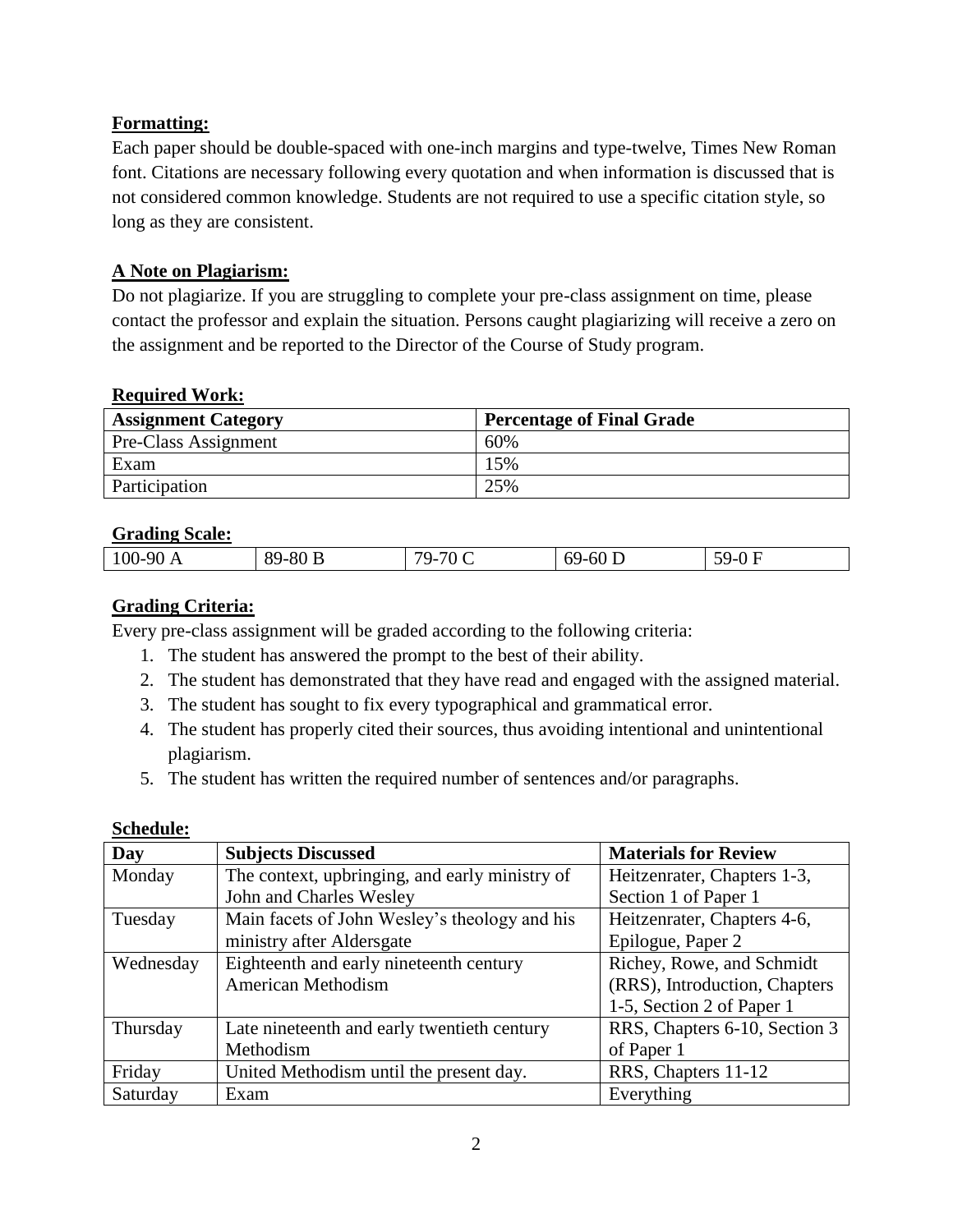## **Formatting:**

Each paper should be double-spaced with one-inch margins and type-twelve, Times New Roman font. Citations are necessary following every quotation and when information is discussed that is not considered common knowledge. Students are not required to use a specific citation style, so long as they are consistent.

## **A Note on Plagiarism:**

Do not plagiarize. If you are struggling to complete your pre-class assignment on time, please contact the professor and explain the situation. Persons caught plagiarizing will receive a zero on the assignment and be reported to the Director of the Course of Study program.

#### **Required Work:**

| <b>Assignment Category</b> | <b>Percentage of Final Grade</b> |
|----------------------------|----------------------------------|
| Pre-Class Assignment       | 60%                              |
| Exam                       | 15%                              |
| Participation              | 25%                              |

## **Grading Scale:**

| .          |                               |                                |           |      |
|------------|-------------------------------|--------------------------------|-----------|------|
| $100-90$ A | $-80P$<br>Q <sub>O</sub><br>ັ | $-70C$<br>79 <sub>-</sub><br>╰ | $69-60$ D | 50-L |
|            |                               |                                |           |      |

## **Grading Criteria:**

Every pre-class assignment will be graded according to the following criteria:

- 1. The student has answered the prompt to the best of their ability.
- 2. The student has demonstrated that they have read and engaged with the assigned material.
- 3. The student has sought to fix every typographical and grammatical error.
- 4. The student has properly cited their sources, thus avoiding intentional and unintentional plagiarism.
- 5. The student has written the required number of sentences and/or paragraphs.

| Day       | <b>Subjects Discussed</b>                      | <b>Materials for Review</b>   |
|-----------|------------------------------------------------|-------------------------------|
| Monday    | The context, upbringing, and early ministry of | Heitzenrater, Chapters 1-3,   |
|           | John and Charles Wesley                        | Section 1 of Paper 1          |
| Tuesday   | Main facets of John Wesley's theology and his  | Heitzenrater, Chapters 4-6,   |
|           | ministry after Aldersgate                      | Epilogue, Paper 2             |
| Wednesday | Eighteenth and early nineteenth century        | Richey, Rowe, and Schmidt     |
|           | American Methodism                             | (RRS), Introduction, Chapters |
|           |                                                | 1-5, Section 2 of Paper 1     |
| Thursday  | Late nineteenth and early twentieth century    | RRS, Chapters 6-10, Section 3 |
|           | Methodism                                      | of Paper 1                    |
| Friday    | United Methodism until the present day.        | RRS, Chapters 11-12           |
| Saturday  | Exam                                           | Everything                    |

#### **Schedule:**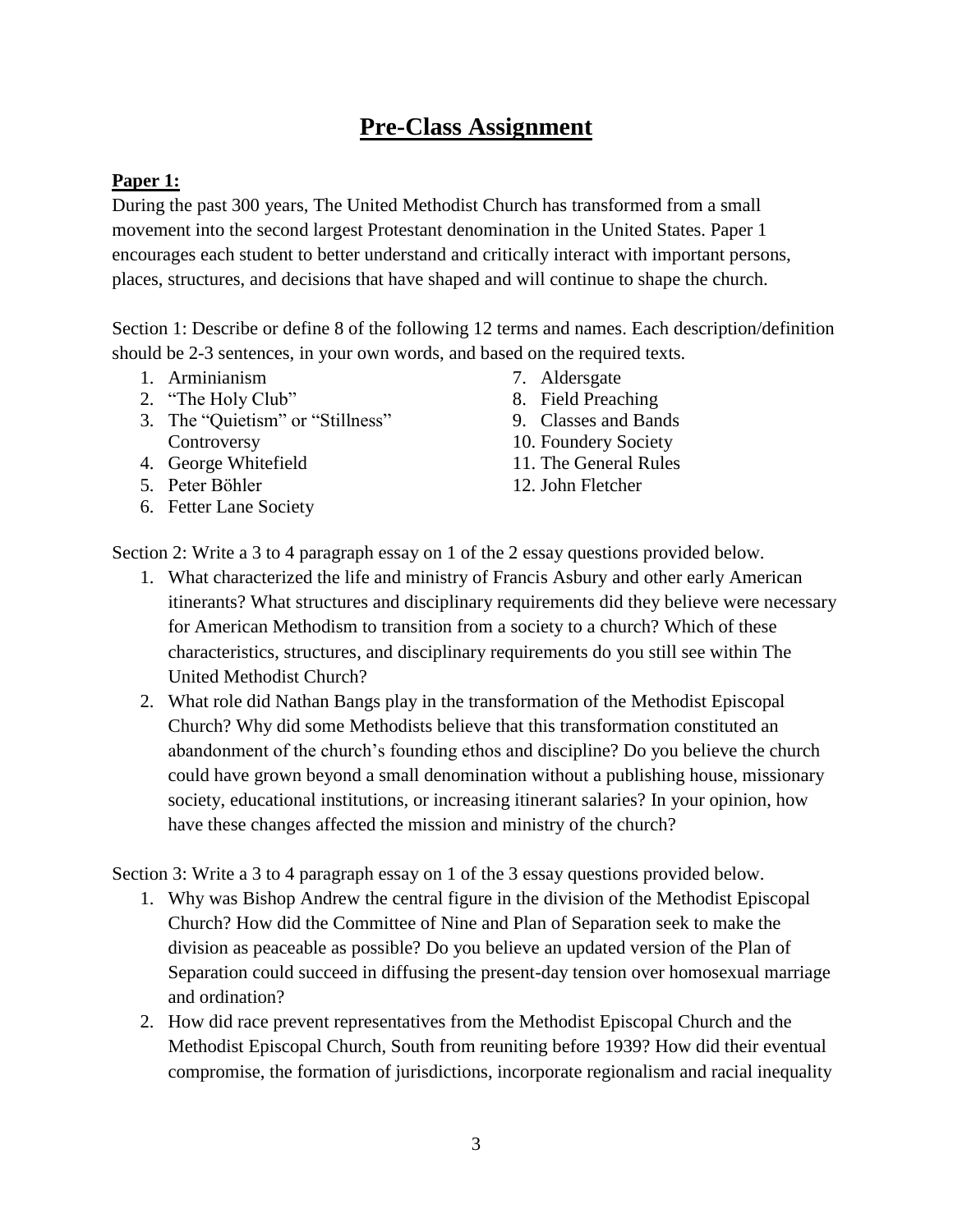## **Pre-Class Assignment**

## **Paper 1:**

During the past 300 years, The United Methodist Church has transformed from a small movement into the second largest Protestant denomination in the United States. Paper 1 encourages each student to better understand and critically interact with important persons, places, structures, and decisions that have shaped and will continue to shape the church.

Section 1: Describe or define 8 of the following 12 terms and names. Each description/definition should be 2-3 sentences, in your own words, and based on the required texts.

- 1. Arminianism
- 2. "The Holy Club"
- 3. The "Quietism" or "Stillness" **Controversy**
- 4. George Whitefield
- 5. Peter Bӧhler
- 6. Fetter Lane Society
- 7. Aldersgate
- 8. Field Preaching
- 9. Classes and Bands
- 10. Foundery Society
- 11. The General Rules
- 12. John Fletcher

Section 2: Write a 3 to 4 paragraph essay on 1 of the 2 essay questions provided below.

- 1. What characterized the life and ministry of Francis Asbury and other early American itinerants? What structures and disciplinary requirements did they believe were necessary for American Methodism to transition from a society to a church? Which of these characteristics, structures, and disciplinary requirements do you still see within The United Methodist Church?
- 2. What role did Nathan Bangs play in the transformation of the Methodist Episcopal Church? Why did some Methodists believe that this transformation constituted an abandonment of the church's founding ethos and discipline? Do you believe the church could have grown beyond a small denomination without a publishing house, missionary society, educational institutions, or increasing itinerant salaries? In your opinion, how have these changes affected the mission and ministry of the church?

Section 3: Write a 3 to 4 paragraph essay on 1 of the 3 essay questions provided below.

- 1. Why was Bishop Andrew the central figure in the division of the Methodist Episcopal Church? How did the Committee of Nine and Plan of Separation seek to make the division as peaceable as possible? Do you believe an updated version of the Plan of Separation could succeed in diffusing the present-day tension over homosexual marriage and ordination?
- 2. How did race prevent representatives from the Methodist Episcopal Church and the Methodist Episcopal Church, South from reuniting before 1939? How did their eventual compromise, the formation of jurisdictions, incorporate regionalism and racial inequality